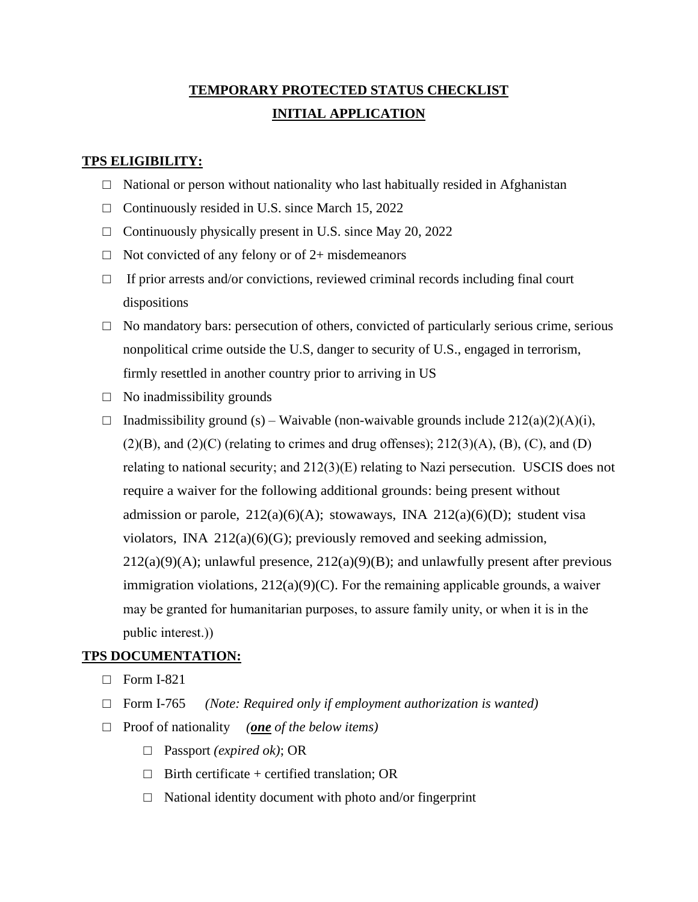# **TEMPORARY PROTECTED STATUS CHECKLIST INITIAL APPLICATION**

## **TPS ELIGIBILITY:**

- $\Box$  National or person without nationality who last habitually resided in Afghanistan
- $\Box$  Continuously resided in U.S. since March 15, 2022
- $\Box$  Continuously physically present in U.S. since May 20, 2022
- $\Box$  Not convicted of any felony or of 2+ misdemeanors
- $\Box$  If prior arrests and/or convictions, reviewed criminal records including final court dispositions
- $\Box$  No mandatory bars: persecution of others, convicted of particularly serious crime, serious nonpolitical crime outside the U.S, danger to security of U.S., engaged in terrorism, firmly resettled in another country prior to arriving in US
- $\Box$  No inadmissibility grounds
- $\Box$  Inadmissibility ground (s) Waivable (non-waivable grounds include 212(a)(2)(A)(i),  $(2)(B)$ , and  $(2)(C)$  (relating to crimes and drug offenses);  $212(3)(A)$ ,  $(B)$ ,  $(C)$ , and  $(D)$ relating to national security; and 212(3)(E) relating to Nazi persecution. USCIS does not require a waiver for the following additional grounds: being present without admission or parole,  $212(a)(6)(A)$ ; stowaways, INA  $212(a)(6)(D)$ ; student visa violators, INA 212(a)(6)(G); previously removed and seeking admission,  $212(a)(9)(A)$ ; unlawful presence,  $212(a)(9)(B)$ ; and unlawfully present after previous immigration violations,  $212(a)(9)(C)$ . For the remaining applicable grounds, a waiver may be granted for humanitarian purposes, to assure family unity, or when it is in the public interest.))

### **TPS DOCUMENTATION:**

- $\Box$  Form I-821
- □ Form I-765 *(Note: Required only if employment authorization is wanted)*
- □ Proof of nationality *(one of the below items)*
	- □ Passport *(expired ok)*; OR
	- $\Box$  Birth certificate + certified translation; OR
	- $\Box$  National identity document with photo and/or fingerprint